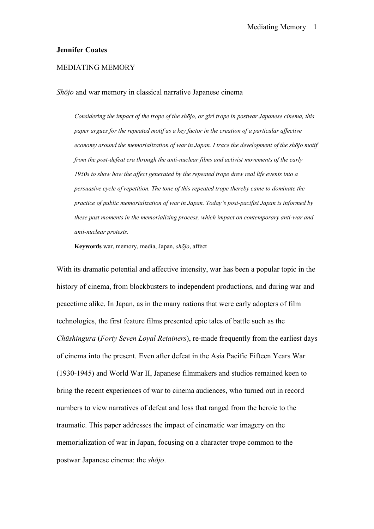#### **Jennifer Coates**

## MEDIATING MEMORY

*Shōjo* and war memory in classical narrative Japanese cinema

*Considering the impact of the trope of the shōjo, or girl trope in postwar Japanese cinema, this paper argues for the repeated motif as a key factor in the creation of a particular affective economy around the memorialization of war in Japan. I trace the development of the shōjo motif from the post-defeat era through the anti-nuclear films and activist movements of the early 1950s to show how the affect generated by the repeated trope drew real life events into a persuasive cycle of repetition. The tone of this repeated trope thereby came to dominate the practice of public memorialization of war in Japan. Today's post-pacifist Japan is informed by these past moments in the memorializing process, which impact on contemporary anti-war and anti-nuclear protests.*

**Keywords** war, memory, media, Japan, *shōjo*, affect

With its dramatic potential and affective intensity, war has been a popular topic in the history of cinema, from blockbusters to independent productions, and during war and peacetime alike. In Japan, as in the many nations that were early adopters of film technologies, the first feature films presented epic tales of battle such as the *Chūshingura* (*Forty Seven Loyal Retainers*), re-made frequently from the earliest days of cinema into the present. Even after defeat in the Asia Pacific Fifteen Years War (1930-1945) and World War II, Japanese filmmakers and studios remained keen to bring the recent experiences of war to cinema audiences, who turned out in record numbers to view narratives of defeat and loss that ranged from the heroic to the traumatic. This paper addresses the impact of cinematic war imagery on the memorialization of war in Japan, focusing on a character trope common to the postwar Japanese cinema: the *shōjo*.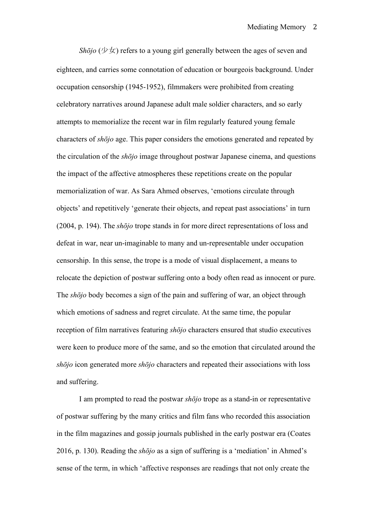*Shōjo* (少女) refers to a young girl generally between the ages of seven and eighteen, and carries some connotation of education or bourgeois background. Under occupation censorship (1945-1952), filmmakers were prohibited from creating celebratory narratives around Japanese adult male soldier characters, and so early attempts to memorialize the recent war in film regularly featured young female characters of *shōjo* age. This paper considers the emotions generated and repeated by the circulation of the *shōjo* image throughout postwar Japanese cinema, and questions the impact of the affective atmospheres these repetitions create on the popular memorialization of war. As Sara Ahmed observes, 'emotions circulate through objects' and repetitively 'generate their objects, and repeat past associations' in turn (2004, p. 194). The *shōjo* trope stands in for more direct representations of loss and defeat in war, near un-imaginable to many and un-representable under occupation censorship. In this sense, the trope is a mode of visual displacement, a means to relocate the depiction of postwar suffering onto a body often read as innocent or pure. The *shōjo* body becomes a sign of the pain and suffering of war, an object through which emotions of sadness and regret circulate. At the same time, the popular reception of film narratives featuring *shōjo* characters ensured that studio executives were keen to produce more of the same, and so the emotion that circulated around the *shōjo* icon generated more *shōjo* characters and repeated their associations with loss and suffering.

I am prompted to read the postwar *shōjo* trope as a stand-in or representative of postwar suffering by the many critics and film fans who recorded this association in the film magazines and gossip journals published in the early postwar era (Coates 2016, p. 130). Reading the *shōjo* as a sign of suffering is a 'mediation' in Ahmed's sense of the term, in which 'affective responses are readings that not only create the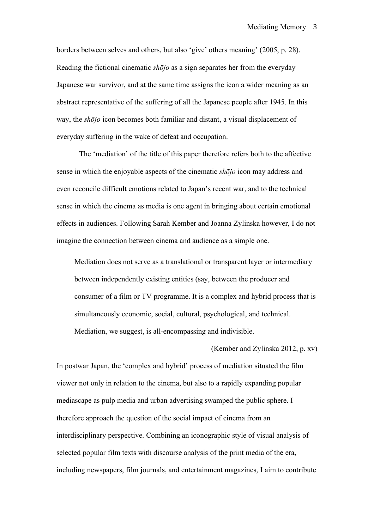borders between selves and others, but also 'give' others meaning' (2005, p. 28). Reading the fictional cinematic *shōjo* as a sign separates her from the everyday Japanese war survivor, and at the same time assigns the icon a wider meaning as an abstract representative of the suffering of all the Japanese people after 1945. In this way, the *shōjo* icon becomes both familiar and distant, a visual displacement of everyday suffering in the wake of defeat and occupation.

The 'mediation' of the title of this paper therefore refers both to the affective sense in which the enjoyable aspects of the cinematic *shōjo* icon may address and even reconcile difficult emotions related to Japan's recent war, and to the technical sense in which the cinema as media is one agent in bringing about certain emotional effects in audiences. Following Sarah Kember and Joanna Zylinska however, I do not imagine the connection between cinema and audience as a simple one.

Mediation does not serve as a translational or transparent layer or intermediary between independently existing entities (say, between the producer and consumer of a film or TV programme. It is a complex and hybrid process that is simultaneously economic, social, cultural, psychological, and technical. Mediation, we suggest, is all-encompassing and indivisible.

## (Kember and Zylinska 2012, p. xv)

In postwar Japan, the 'complex and hybrid' process of mediation situated the film viewer not only in relation to the cinema, but also to a rapidly expanding popular mediascape as pulp media and urban advertising swamped the public sphere. I therefore approach the question of the social impact of cinema from an interdisciplinary perspective. Combining an iconographic style of visual analysis of selected popular film texts with discourse analysis of the print media of the era, including newspapers, film journals, and entertainment magazines, I aim to contribute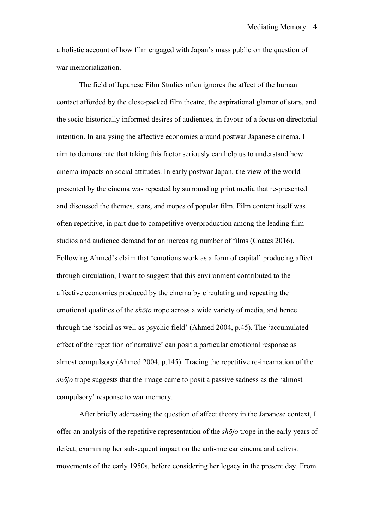a holistic account of how film engaged with Japan's mass public on the question of war memorialization.

The field of Japanese Film Studies often ignores the affect of the human contact afforded by the close-packed film theatre, the aspirational glamor of stars, and the socio-historically informed desires of audiences, in favour of a focus on directorial intention. In analysing the affective economies around postwar Japanese cinema, I aim to demonstrate that taking this factor seriously can help us to understand how cinema impacts on social attitudes. In early postwar Japan, the view of the world presented by the cinema was repeated by surrounding print media that re-presented and discussed the themes, stars, and tropes of popular film. Film content itself was often repetitive, in part due to competitive overproduction among the leading film studios and audience demand for an increasing number of films (Coates 2016). Following Ahmed's claim that 'emotions work as a form of capital' producing affect through circulation, I want to suggest that this environment contributed to the affective economies produced by the cinema by circulating and repeating the emotional qualities of the *shōjo* trope across a wide variety of media, and hence through the 'social as well as psychic field' (Ahmed 2004, p.45). The 'accumulated effect of the repetition of narrative' can posit a particular emotional response as almost compulsory (Ahmed 2004, p.145). Tracing the repetitive re-incarnation of the *shōjo* trope suggests that the image came to posit a passive sadness as the 'almost compulsory' response to war memory.

After briefly addressing the question of affect theory in the Japanese context, I offer an analysis of the repetitive representation of the *shōjo* trope in the early years of defeat, examining her subsequent impact on the anti-nuclear cinema and activist movements of the early 1950s, before considering her legacy in the present day. From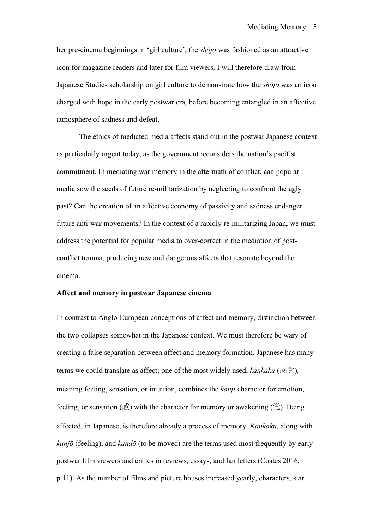her pre-cinema beginnings in 'girl culture', the *shōjo* was fashioned as an attractive icon for magazine readers and later for film viewers. I will therefore draw from Japanese Studies scholarship on girl culture to demonstrate how the *shōjo* was an icon charged with hope in the early postwar era, before becoming entangled in an affective atmosphere of sadness and defeat.

The ethics of mediated media affects stand out in the postwar Japanese context as particularly urgent today, as the government reconsiders the nation's pacifist commitment. In mediating war memory in the aftermath of conflict, can popular media sow the seeds of future re-militarization by neglecting to confront the ugly past? Can the creation of an affective economy of passivity and sadness endanger future anti-war movements? In the context of a rapidly re-militarizing Japan, we must address the potential for popular media to over-correct in the mediation of postconflict trauma, producing new and dangerous affects that resonate beyond the cinema.

### **Affect and memory in postwar Japanese cinema**

In contrast to Anglo-European conceptions of affect and memory, distinction between the two collapses somewhat in the Japanese context. We must therefore be wary of creating a false separation between affect and memory formation. Japanese has many terms we could translate as affect; one of the most widely used, *kankaku* (感覚), meaning feeling, sensation, or intuition, combines the *kanji* character for emotion, feeling, or sensation (感) with the character for memory or awakening (覚). Being affected, in Japanese, is therefore already a process of memory. *Kankaku,* along with *kanjō* (feeling), and *kandō* (to be moved) are the terms used most frequently by early postwar film viewers and critics in reviews, essays, and fan letters (Coates 2016, p.11). As the number of films and picture houses increased yearly, characters, star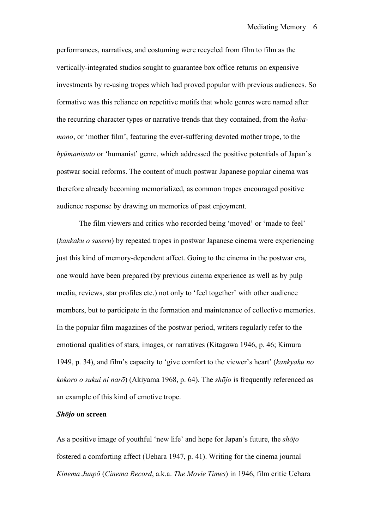performances, narratives, and costuming were recycled from film to film as the vertically-integrated studios sought to guarantee box office returns on expensive investments by re-using tropes which had proved popular with previous audiences. So formative was this reliance on repetitive motifs that whole genres were named after the recurring character types or narrative trends that they contained, from the *hahamono*, or 'mother film', featuring the ever-suffering devoted mother trope, to the *hyūmanisuto* or 'humanist' genre, which addressed the positive potentials of Japan's postwar social reforms. The content of much postwar Japanese popular cinema was therefore already becoming memorialized, as common tropes encouraged positive audience response by drawing on memories of past enjoyment.

The film viewers and critics who recorded being 'moved' or 'made to feel' (*kankaku o saseru*) by repeated tropes in postwar Japanese cinema were experiencing just this kind of memory-dependent affect. Going to the cinema in the postwar era, one would have been prepared (by previous cinema experience as well as by pulp media, reviews, star profiles etc.) not only to 'feel together' with other audience members, but to participate in the formation and maintenance of collective memories. In the popular film magazines of the postwar period, writers regularly refer to the emotional qualities of stars, images, or narratives (Kitagawa 1946, p. 46; Kimura 1949, p. 34), and film's capacity to 'give comfort to the viewer's heart' (*kankyaku no kokoro o sukui ni narō*) (Akiyama 1968, p. 64). The *shōjo* is frequently referenced as an example of this kind of emotive trope.

#### *Shōjo* **on screen**

As a positive image of youthful 'new life' and hope for Japan's future, the *shōjo* fostered a comforting affect (Uehara 1947, p. 41). Writing for the cinema journal *Kinema Junpō* (*Cinema Record*, a.k.a. *The Movie Times*) in 1946, film critic Uehara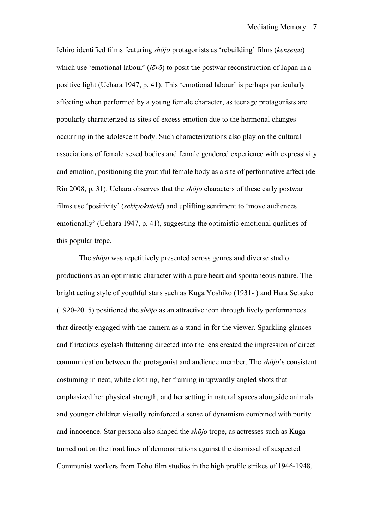Ichirō identified films featuring *shōjo* protagonists as 'rebuilding' films (*kensetsu*) which use 'emotional labour' (*jōrō*) to posit the postwar reconstruction of Japan in a positive light (Uehara 1947, p. 41). This 'emotional labour' is perhaps particularly affecting when performed by a young female character, as teenage protagonists are popularly characterized as sites of excess emotion due to the hormonal changes occurring in the adolescent body. Such characterizations also play on the cultural associations of female sexed bodies and female gendered experience with expressivity and emotion, positioning the youthful female body as a site of performative affect (del Río 2008, p. 31). Uehara observes that the *shōjo* characters of these early postwar films use 'positivity' (*sekkyokuteki*) and uplifting sentiment to 'move audiences emotionally' (Uehara 1947, p. 41), suggesting the optimistic emotional qualities of this popular trope.

The *shōjo* was repetitively presented across genres and diverse studio productions as an optimistic character with a pure heart and spontaneous nature. The bright acting style of youthful stars such as Kuga Yoshiko (1931- ) and Hara Setsuko (1920-2015) positioned the *shōjo* as an attractive icon through lively performances that directly engaged with the camera as a stand-in for the viewer. Sparkling glances and flirtatious eyelash fluttering directed into the lens created the impression of direct communication between the protagonist and audience member. The *shōjo*'s consistent costuming in neat, white clothing, her framing in upwardly angled shots that emphasized her physical strength, and her setting in natural spaces alongside animals and younger children visually reinforced a sense of dynamism combined with purity and innocence. Star persona also shaped the *shōjo* trope, as actresses such as Kuga turned out on the front lines of demonstrations against the dismissal of suspected Communist workers from Tōhō film studios in the high profile strikes of 1946-1948,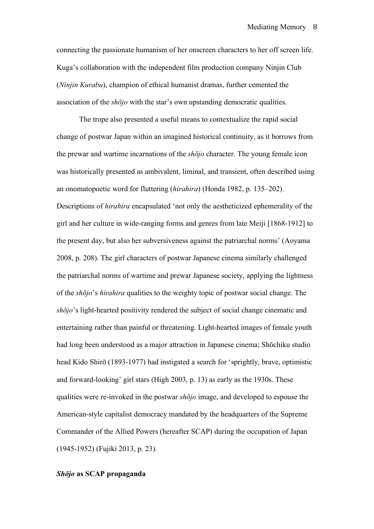connecting the passionate humanism of her onscreen characters to her off screen life. Kuga's collaboration with the independent film production company Ninjin Club (*Ninjin Kurabu*), champion of ethical humanist dramas, further cemented the association of the *shōjo* with the star's own upstanding democratic qualities.

The trope also presented a useful means to contextualize the rapid social change of postwar Japan within an imagined historical continuity, as it borrows from the prewar and wartime incarnations of the *shōjo* character*.* The young female icon was historically presented as ambivalent, liminal, and transient, often described using an onomatopoetic word for fluttering (*hirahira*) (Honda 1982, p. 135–202). Descriptions of *hirahira* encapsulated 'not only the aestheticized ephemerality of the girl and her culture in wide-ranging forms and genres from late Meiji [1868-1912] to the present day, but also her subversiveness against the patriarchal norms' (Aoyama 2008, p. 208). The girl characters of postwar Japanese cinema similarly challenged the patriarchal norms of wartime and prewar Japanese society, applying the lightness of the *shōjo*'s *hirahira* qualities to the weighty topic of postwar social change. The *shōjo*'s light-hearted positivity rendered the subject of social change cinematic and entertaining rather than painful or threatening. Light-hearted images of female youth had long been understood as a major attraction in Japanese cinema; Shōchiku studio head Kido Shirō (1893-1977) had instigated a search for 'sprightly, brave, optimistic and forward-looking' girl stars (High 2003, p. 13) as early as the 1930s. These qualities were re-invoked in the postwar *shōjo* image, and developed to espouse the American-style capitalist democracy mandated by the headquarters of the Supreme Commander of the Allied Powers (hereafter SCAP) during the occupation of Japan (1945-1952) (Fujiki 2013, p. 23).

# *Shōjo* **as SCAP propaganda**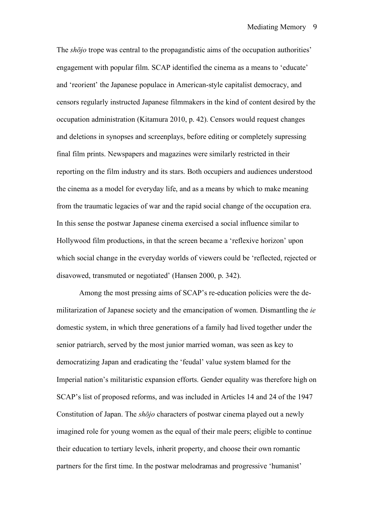The *shōjo* trope was central to the propagandistic aims of the occupation authorities' engagement with popular film. SCAP identified the cinema as a means to 'educate' and 'reorient' the Japanese populace in American-style capitalist democracy, and censors regularly instructed Japanese filmmakers in the kind of content desired by the occupation administration (Kitamura 2010, p. 42). Censors would request changes and deletions in synopses and screenplays, before editing or completely supressing final film prints. Newspapers and magazines were similarly restricted in their reporting on the film industry and its stars. Both occupiers and audiences understood the cinema as a model for everyday life, and as a means by which to make meaning from the traumatic legacies of war and the rapid social change of the occupation era. In this sense the postwar Japanese cinema exercised a social influence similar to Hollywood film productions, in that the screen became a 'reflexive horizon' upon which social change in the everyday worlds of viewers could be 'reflected, rejected or disavowed, transmuted or negotiated' (Hansen 2000, p. 342).

Among the most pressing aims of SCAP's re-education policies were the demilitarization of Japanese society and the emancipation of women. Dismantling the *ie*  domestic system, in which three generations of a family had lived together under the senior patriarch, served by the most junior married woman, was seen as key to democratizing Japan and eradicating the 'feudal' value system blamed for the Imperial nation's militaristic expansion efforts. Gender equality was therefore high on SCAP's list of proposed reforms, and was included in Articles 14 and 24 of the 1947 Constitution of Japan. The *shōjo* characters of postwar cinema played out a newly imagined role for young women as the equal of their male peers; eligible to continue their education to tertiary levels, inherit property, and choose their own romantic partners for the first time. In the postwar melodramas and progressive 'humanist'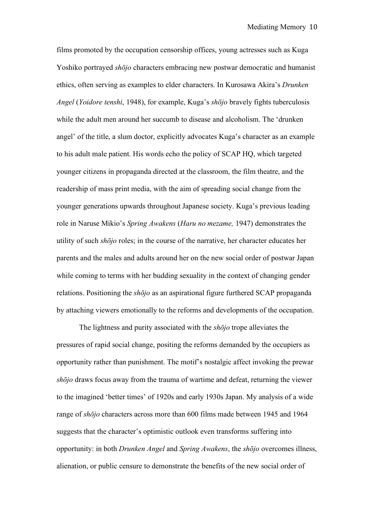films promoted by the occupation censorship offices, young actresses such as Kuga Yoshiko portrayed *shōjo* characters embracing new postwar democratic and humanist ethics, often serving as examples to elder characters. In Kurosawa Akira's *Drunken Angel* (*Yoidore tenshi*, 1948), for example, Kuga's *shōjo* bravely fights tuberculosis while the adult men around her succumb to disease and alcoholism. The 'drunken angel' of the title, a slum doctor, explicitly advocates Kuga's character as an example to his adult male patient. His words echo the policy of SCAP HQ, which targeted younger citizens in propaganda directed at the classroom, the film theatre, and the readership of mass print media, with the aim of spreading social change from the younger generations upwards throughout Japanese society. Kuga's previous leading role in Naruse Mikio's *Spring Awakens* (*Haru no mezame,* 1947) demonstrates the utility of such *shōjo* roles; in the course of the narrative, her character educates her parents and the males and adults around her on the new social order of postwar Japan while coming to terms with her budding sexuality in the context of changing gender relations. Positioning the *shōjo* as an aspirational figure furthered SCAP propaganda by attaching viewers emotionally to the reforms and developments of the occupation.

The lightness and purity associated with the *shōjo* trope alleviates the pressures of rapid social change, positing the reforms demanded by the occupiers as opportunity rather than punishment. The motif's nostalgic affect invoking the prewar *shōjo* draws focus away from the trauma of wartime and defeat, returning the viewer to the imagined 'better times' of 1920s and early 1930s Japan. My analysis of a wide range of *shōjo* characters across more than 600 films made between 1945 and 1964 suggests that the character's optimistic outlook even transforms suffering into opportunity: in both *Drunken Angel* and *Spring Awakens*, the *shōjo* overcomes illness, alienation, or public censure to demonstrate the benefits of the new social order of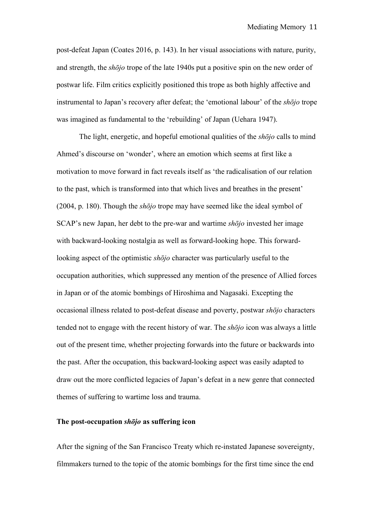post-defeat Japan (Coates 2016, p. 143). In her visual associations with nature, purity, and strength, the *shōjo* trope of the late 1940s put a positive spin on the new order of postwar life. Film critics explicitly positioned this trope as both highly affective and instrumental to Japan's recovery after defeat; the 'emotional labour' of the *shōjo* trope was imagined as fundamental to the 'rebuilding' of Japan (Uehara 1947).

The light, energetic, and hopeful emotional qualities of the *shōjo* calls to mind Ahmed's discourse on 'wonder', where an emotion which seems at first like a motivation to move forward in fact reveals itself as 'the radicalisation of our relation to the past, which is transformed into that which lives and breathes in the present' (2004, p. 180). Though the *shōjo* trope may have seemed like the ideal symbol of SCAP's new Japan, her debt to the pre-war and wartime *shōjo* invested her image with backward-looking nostalgia as well as forward-looking hope. This forwardlooking aspect of the optimistic *shōjo* character was particularly useful to the occupation authorities, which suppressed any mention of the presence of Allied forces in Japan or of the atomic bombings of Hiroshima and Nagasaki. Excepting the occasional illness related to post-defeat disease and poverty, postwar *shōjo* characters tended not to engage with the recent history of war. The *shōjo* icon was always a little out of the present time, whether projecting forwards into the future or backwards into the past. After the occupation, this backward-looking aspect was easily adapted to draw out the more conflicted legacies of Japan's defeat in a new genre that connected themes of suffering to wartime loss and trauma.

### **The post-occupation** *shōjo* **as suffering icon**

After the signing of the San Francisco Treaty which re-instated Japanese sovereignty, filmmakers turned to the topic of the atomic bombings for the first time since the end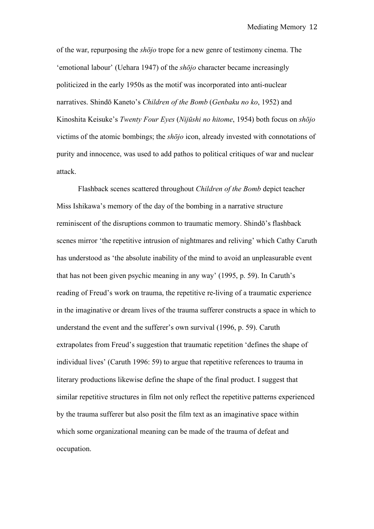of the war, repurposing the *shōjo* trope for a new genre of testimony cinema. The 'emotional labour' (Uehara 1947) of the *shōjo* character became increasingly politicized in the early 1950s as the motif was incorporated into anti-nuclear narratives. Shindō Kaneto's *Children of the Bomb* (*Genbaku no ko*, 1952) and Kinoshita Keisuke's *Twenty Four Eyes* (*Nijūshi no hitome*, 1954) both focus on *shōjo* victims of the atomic bombings; the *shōjo* icon, already invested with connotations of purity and innocence, was used to add pathos to political critiques of war and nuclear attack.

Flashback scenes scattered throughout *Children of the Bomb* depict teacher Miss Ishikawa's memory of the day of the bombing in a narrative structure reminiscent of the disruptions common to traumatic memory. Shindō's flashback scenes mirror 'the repetitive intrusion of nightmares and reliving' which Cathy Caruth has understood as 'the absolute inability of the mind to avoid an unpleasurable event that has not been given psychic meaning in any way' (1995, p. 59). In Caruth's reading of Freud's work on trauma, the repetitive re-living of a traumatic experience in the imaginative or dream lives of the trauma sufferer constructs a space in which to understand the event and the sufferer's own survival (1996, p. 59). Caruth extrapolates from Freud's suggestion that traumatic repetition 'defines the shape of individual lives' (Caruth 1996: 59) to argue that repetitive references to trauma in literary productions likewise define the shape of the final product. I suggest that similar repetitive structures in film not only reflect the repetitive patterns experienced by the trauma sufferer but also posit the film text as an imaginative space within which some organizational meaning can be made of the trauma of defeat and occupation.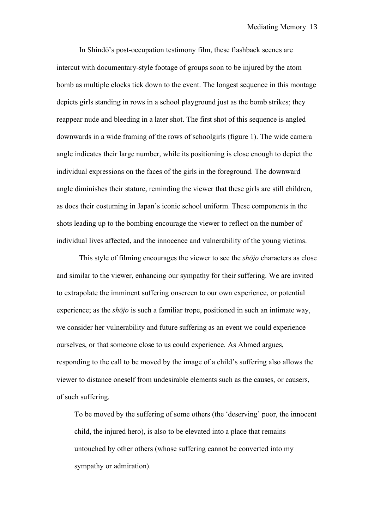In Shindō's post-occupation testimony film, these flashback scenes are intercut with documentary-style footage of groups soon to be injured by the atom bomb as multiple clocks tick down to the event. The longest sequence in this montage depicts girls standing in rows in a school playground just as the bomb strikes; they reappear nude and bleeding in a later shot. The first shot of this sequence is angled downwards in a wide framing of the rows of schoolgirls (figure 1). The wide camera angle indicates their large number, while its positioning is close enough to depict the individual expressions on the faces of the girls in the foreground. The downward angle diminishes their stature, reminding the viewer that these girls are still children, as does their costuming in Japan's iconic school uniform. These components in the shots leading up to the bombing encourage the viewer to reflect on the number of individual lives affected, and the innocence and vulnerability of the young victims.

This style of filming encourages the viewer to see the *shōjo* characters as close and similar to the viewer, enhancing our sympathy for their suffering. We are invited to extrapolate the imminent suffering onscreen to our own experience, or potential experience; as the *shōjo* is such a familiar trope, positioned in such an intimate way, we consider her vulnerability and future suffering as an event we could experience ourselves, or that someone close to us could experience. As Ahmed argues, responding to the call to be moved by the image of a child's suffering also allows the viewer to distance oneself from undesirable elements such as the causes, or causers, of such suffering.

To be moved by the suffering of some others (the 'deserving' poor, the innocent child, the injured hero), is also to be elevated into a place that remains untouched by other others (whose suffering cannot be converted into my sympathy or admiration).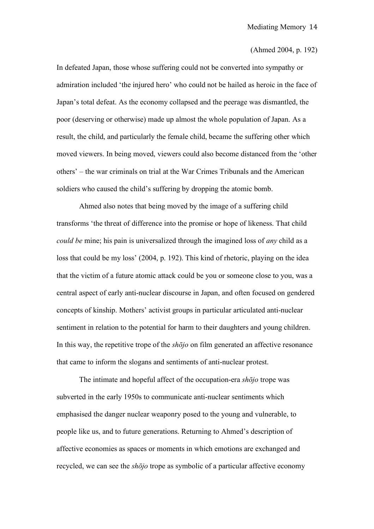#### (Ahmed 2004, p. 192)

In defeated Japan, those whose suffering could not be converted into sympathy or admiration included 'the injured hero' who could not be hailed as heroic in the face of Japan's total defeat. As the economy collapsed and the peerage was dismantled, the poor (deserving or otherwise) made up almost the whole population of Japan. As a result, the child, and particularly the female child, became the suffering other which moved viewers. In being moved, viewers could also become distanced from the 'other others' – the war criminals on trial at the War Crimes Tribunals and the American soldiers who caused the child's suffering by dropping the atomic bomb.

Ahmed also notes that being moved by the image of a suffering child transforms 'the threat of difference into the promise or hope of likeness. That child *could be* mine; his pain is universalized through the imagined loss of *any* child as a loss that could be my loss' (2004, p. 192). This kind of rhetoric, playing on the idea that the victim of a future atomic attack could be you or someone close to you, was a central aspect of early anti-nuclear discourse in Japan, and often focused on gendered concepts of kinship. Mothers' activist groups in particular articulated anti-nuclear sentiment in relation to the potential for harm to their daughters and young children. In this way, the repetitive trope of the *shōjo* on film generated an affective resonance that came to inform the slogans and sentiments of anti-nuclear protest.

The intimate and hopeful affect of the occupation-era *shōjo* trope was subverted in the early 1950s to communicate anti-nuclear sentiments which emphasised the danger nuclear weaponry posed to the young and vulnerable, to people like us, and to future generations. Returning to Ahmed's description of affective economies as spaces or moments in which emotions are exchanged and recycled, we can see the *shōjo* trope as symbolic of a particular affective economy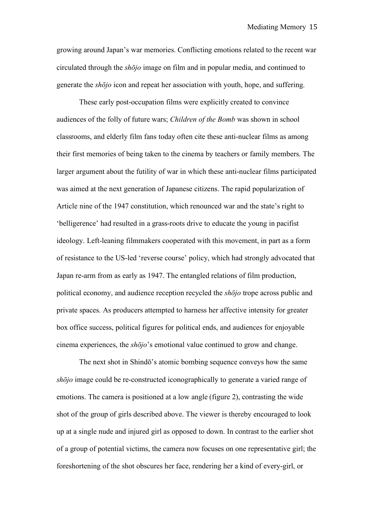growing around Japan's war memories. Conflicting emotions related to the recent war circulated through the *shōjo* image on film and in popular media, and continued to generate the *shōjo* icon and repeat her association with youth, hope, and suffering.

These early post-occupation films were explicitly created to convince audiences of the folly of future wars; *Children of the Bomb* was shown in school classrooms, and elderly film fans today often cite these anti-nuclear films as among their first memories of being taken to the cinema by teachers or family members. The larger argument about the futility of war in which these anti-nuclear films participated was aimed at the next generation of Japanese citizens. The rapid popularization of Article nine of the 1947 constitution, which renounced war and the state's right to 'belligerence' had resulted in a grass-roots drive to educate the young in pacifist ideology. Left-leaning filmmakers cooperated with this movement, in part as a form of resistance to the US-led 'reverse course' policy, which had strongly advocated that Japan re-arm from as early as 1947. The entangled relations of film production, political economy, and audience reception recycled the *shōjo* trope across public and private spaces. As producers attempted to harness her affective intensity for greater box office success, political figures for political ends, and audiences for enjoyable cinema experiences, the *shōjo*'s emotional value continued to grow and change.

The next shot in Shindō's atomic bombing sequence conveys how the same *shōjo* image could be re-constructed iconographically to generate a varied range of emotions. The camera is positioned at a low angle (figure 2), contrasting the wide shot of the group of girls described above. The viewer is thereby encouraged to look up at a single nude and injured girl as opposed to down. In contrast to the earlier shot of a group of potential victims, the camera now focuses on one representative girl; the foreshortening of the shot obscures her face, rendering her a kind of every-girl, or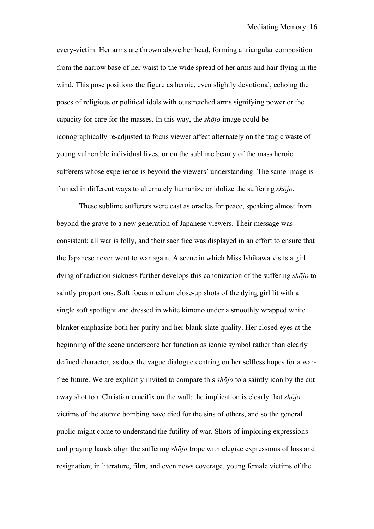every-victim. Her arms are thrown above her head, forming a triangular composition from the narrow base of her waist to the wide spread of her arms and hair flying in the wind. This pose positions the figure as heroic, even slightly devotional, echoing the poses of religious or political idols with outstretched arms signifying power or the capacity for care for the masses. In this way, the *shōjo* image could be iconographically re-adjusted to focus viewer affect alternately on the tragic waste of young vulnerable individual lives, or on the sublime beauty of the mass heroic sufferers whose experience is beyond the viewers' understanding. The same image is framed in different ways to alternately humanize or idolize the suffering *shōjo*.

These sublime sufferers were cast as oracles for peace, speaking almost from beyond the grave to a new generation of Japanese viewers. Their message was consistent; all war is folly, and their sacrifice was displayed in an effort to ensure that the Japanese never went to war again. A scene in which Miss Ishikawa visits a girl dying of radiation sickness further develops this canonization of the suffering *shōjo* to saintly proportions. Soft focus medium close-up shots of the dying girl lit with a single soft spotlight and dressed in white kimono under a smoothly wrapped white blanket emphasize both her purity and her blank-slate quality. Her closed eyes at the beginning of the scene underscore her function as iconic symbol rather than clearly defined character, as does the vague dialogue centring on her selfless hopes for a warfree future. We are explicitly invited to compare this *shōjo* to a saintly icon by the cut away shot to a Christian crucifix on the wall; the implication is clearly that *shōjo* victims of the atomic bombing have died for the sins of others, and so the general public might come to understand the futility of war. Shots of imploring expressions and praying hands align the suffering *shōjo* trope with elegiac expressions of loss and resignation; in literature, film, and even news coverage, young female victims of the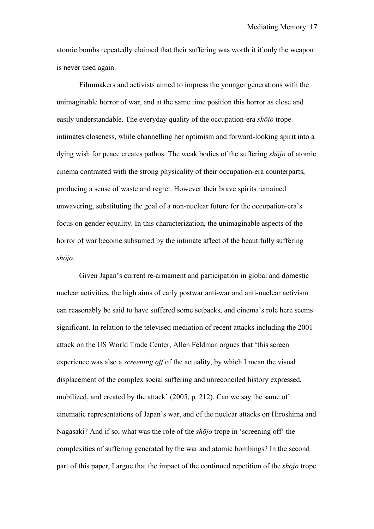atomic bombs repeatedly claimed that their suffering was worth it if only the weapon is never used again.

Filmmakers and activists aimed to impress the younger generations with the unimaginable horror of war, and at the same time position this horror as close and easily understandable. The everyday quality of the occupation-era *shōjo* trope intimates closeness, while channelling her optimism and forward-looking spirit into a dying wish for peace creates pathos. The weak bodies of the suffering *shōjo* of atomic cinema contrasted with the strong physicality of their occupation-era counterparts, producing a sense of waste and regret. However their brave spirits remained unwavering, substituting the goal of a non-nuclear future for the occupation-era's focus on gender equality. In this characterization, the unimaginable aspects of the horror of war become subsumed by the intimate affect of the beautifully suffering *shōjo*.

Given Japan's current re-armament and participation in global and domestic nuclear activities, the high aims of early postwar anti-war and anti-nuclear activism can reasonably be said to have suffered some setbacks, and cinema's role here seems significant. In relation to the televised mediation of recent attacks including the 2001 attack on the US World Trade Center, Allen Feldman argues that 'this screen experience was also a *screening off* of the actuality, by which I mean the visual displacement of the complex social suffering and unreconciled history expressed, mobilized, and created by the attack' (2005, p. 212). Can we say the same of cinematic representations of Japan's war, and of the nuclear attacks on Hiroshima and Nagasaki? And if so, what was the role of the *shōjo* trope in 'screening off' the complexities of suffering generated by the war and atomic bombings? In the second part of this paper, I argue that the impact of the continued repetition of the *shōjo* trope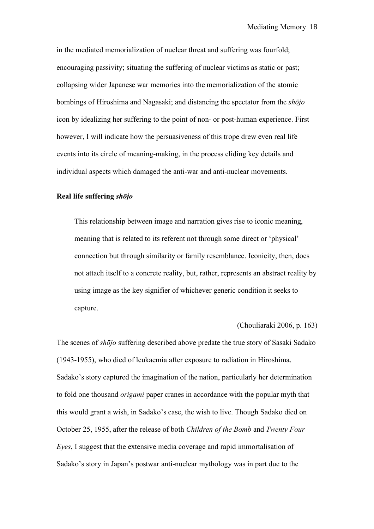in the mediated memorialization of nuclear threat and suffering was fourfold; encouraging passivity; situating the suffering of nuclear victims as static or past; collapsing wider Japanese war memories into the memorialization of the atomic bombings of Hiroshima and Nagasaki; and distancing the spectator from the *shōjo* icon by idealizing her suffering to the point of non- or post-human experience. First however, I will indicate how the persuasiveness of this trope drew even real life events into its circle of meaning-making, in the process eliding key details and individual aspects which damaged the anti-war and anti-nuclear movements.

## **Real life suffering** *shōjo*

This relationship between image and narration gives rise to iconic meaning, meaning that is related to its referent not through some direct or 'physical' connection but through similarity or family resemblance. Iconicity, then, does not attach itself to a concrete reality, but, rather, represents an abstract reality by using image as the key signifier of whichever generic condition it seeks to capture.

### (Chouliaraki 2006, p. 163)

The scenes of *shōjo* suffering described above predate the true story of Sasaki Sadako (1943-1955), who died of leukaemia after exposure to radiation in Hiroshima. Sadako's story captured the imagination of the nation, particularly her determination to fold one thousand *origami* paper cranes in accordance with the popular myth that this would grant a wish, in Sadako's case, the wish to live. Though Sadako died on October 25, 1955, after the release of both *Children of the Bomb* and *Twenty Four Eyes*, I suggest that the extensive media coverage and rapid immortalisation of Sadako's story in Japan's postwar anti-nuclear mythology was in part due to the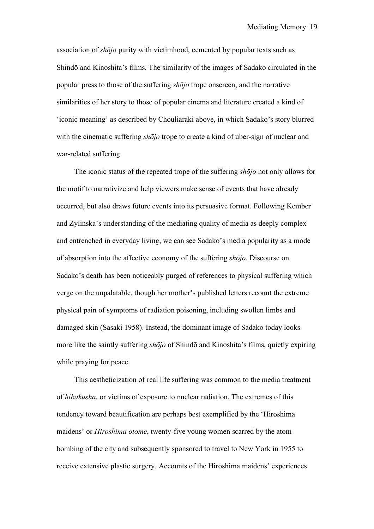association of *shōjo* purity with victimhood, cemented by popular texts such as Shindō and Kinoshita's films. The similarity of the images of Sadako circulated in the popular press to those of the suffering *shōjo* trope onscreen, and the narrative similarities of her story to those of popular cinema and literature created a kind of 'iconic meaning' as described by Chouliaraki above, in which Sadako's story blurred with the cinematic suffering *shōjo* trope to create a kind of uber-sign of nuclear and war-related suffering.

The iconic status of the repeated trope of the suffering *shōjo* not only allows for the motif to narrativize and help viewers make sense of events that have already occurred, but also draws future events into its persuasive format. Following Kember and Zylinska's understanding of the mediating quality of media as deeply complex and entrenched in everyday living, we can see Sadako's media popularity as a mode of absorption into the affective economy of the suffering *shōjo*. Discourse on Sadako's death has been noticeably purged of references to physical suffering which verge on the unpalatable, though her mother's published letters recount the extreme physical pain of symptoms of radiation poisoning, including swollen limbs and damaged skin (Sasaki 1958). Instead, the dominant image of Sadako today looks more like the saintly suffering *shōjo* of Shindō and Kinoshita's films, quietly expiring while praying for peace.

This aestheticization of real life suffering was common to the media treatment of *hibakusha*, or victims of exposure to nuclear radiation. The extremes of this tendency toward beautification are perhaps best exemplified by the 'Hiroshima maidens' or *Hiroshima otome*, twenty-five young women scarred by the atom bombing of the city and subsequently sponsored to travel to New York in 1955 to receive extensive plastic surgery. Accounts of the Hiroshima maidens' experiences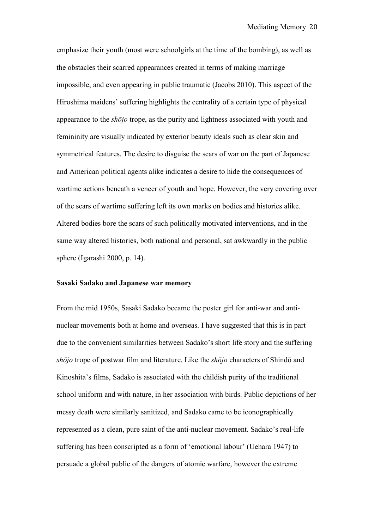emphasize their youth (most were schoolgirls at the time of the bombing), as well as the obstacles their scarred appearances created in terms of making marriage impossible, and even appearing in public traumatic (Jacobs 2010). This aspect of the Hiroshima maidens' suffering highlights the centrality of a certain type of physical appearance to the *shōjo* trope, as the purity and lightness associated with youth and femininity are visually indicated by exterior beauty ideals such as clear skin and symmetrical features. The desire to disguise the scars of war on the part of Japanese and American political agents alike indicates a desire to hide the consequences of wartime actions beneath a veneer of youth and hope. However, the very covering over of the scars of wartime suffering left its own marks on bodies and histories alike. Altered bodies bore the scars of such politically motivated interventions, and in the same way altered histories, both national and personal, sat awkwardly in the public sphere (Igarashi 2000, p. 14).

### **Sasaki Sadako and Japanese war memory**

From the mid 1950s, Sasaki Sadako became the poster girl for anti-war and antinuclear movements both at home and overseas. I have suggested that this is in part due to the convenient similarities between Sadako's short life story and the suffering *shōjo* trope of postwar film and literature. Like the *shōjo* characters of Shindō and Kinoshita's films, Sadako is associated with the childish purity of the traditional school uniform and with nature, in her association with birds. Public depictions of her messy death were similarly sanitized, and Sadako came to be iconographically represented as a clean, pure saint of the anti-nuclear movement. Sadako's real-life suffering has been conscripted as a form of 'emotional labour' (Uehara 1947) to persuade a global public of the dangers of atomic warfare, however the extreme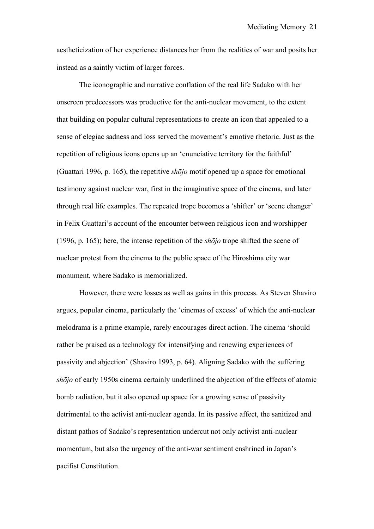aestheticization of her experience distances her from the realities of war and posits her instead as a saintly victim of larger forces.

The iconographic and narrative conflation of the real life Sadako with her onscreen predecessors was productive for the anti-nuclear movement, to the extent that building on popular cultural representations to create an icon that appealed to a sense of elegiac sadness and loss served the movement's emotive rhetoric. Just as the repetition of religious icons opens up an 'enunciative territory for the faithful' (Guattari 1996, p. 165), the repetitive *shōjo* motif opened up a space for emotional testimony against nuclear war, first in the imaginative space of the cinema, and later through real life examples. The repeated trope becomes a 'shifter' or 'scene changer' in Felix Guattari's account of the encounter between religious icon and worshipper (1996, p. 165); here, the intense repetition of the *shōjo* trope shifted the scene of nuclear protest from the cinema to the public space of the Hiroshima city war monument, where Sadako is memorialized.

However, there were losses as well as gains in this process. As Steven Shaviro argues, popular cinema, particularly the 'cinemas of excess' of which the anti-nuclear melodrama is a prime example, rarely encourages direct action. The cinema 'should rather be praised as a technology for intensifying and renewing experiences of passivity and abjection' (Shaviro 1993, p. 64). Aligning Sadako with the suffering *shōjo* of early 1950s cinema certainly underlined the abjection of the effects of atomic bomb radiation, but it also opened up space for a growing sense of passivity detrimental to the activist anti-nuclear agenda. In its passive affect, the sanitized and distant pathos of Sadako's representation undercut not only activist anti-nuclear momentum, but also the urgency of the anti-war sentiment enshrined in Japan's pacifist Constitution.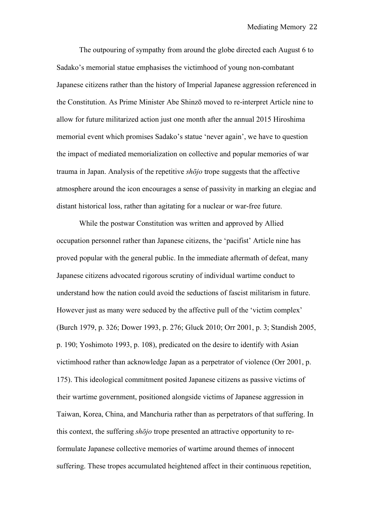The outpouring of sympathy from around the globe directed each August 6 to Sadako's memorial statue emphasises the victimhood of young non-combatant Japanese citizens rather than the history of Imperial Japanese aggression referenced in the Constitution. As Prime Minister Abe Shinzō moved to re-interpret Article nine to allow for future militarized action just one month after the annual 2015 Hiroshima memorial event which promises Sadako's statue 'never again', we have to question the impact of mediated memorialization on collective and popular memories of war trauma in Japan. Analysis of the repetitive *shōjo* trope suggests that the affective atmosphere around the icon encourages a sense of passivity in marking an elegiac and distant historical loss, rather than agitating for a nuclear or war-free future.

While the postwar Constitution was written and approved by Allied occupation personnel rather than Japanese citizens, the 'pacifist' Article nine has proved popular with the general public. In the immediate aftermath of defeat, many Japanese citizens advocated rigorous scrutiny of individual wartime conduct to understand how the nation could avoid the seductions of fascist militarism in future. However just as many were seduced by the affective pull of the 'victim complex' (Burch 1979, p. 326; Dower 1993, p. 276; Gluck 2010; Orr 2001, p. 3; Standish 2005, p. 190; Yoshimoto 1993, p. 108), predicated on the desire to identify with Asian victimhood rather than acknowledge Japan as a perpetrator of violence (Orr 2001, p. 175). This ideological commitment posited Japanese citizens as passive victims of their wartime government, positioned alongside victims of Japanese aggression in Taiwan, Korea, China, and Manchuria rather than as perpetrators of that suffering. In this context, the suffering *shōjo* trope presented an attractive opportunity to reformulate Japanese collective memories of wartime around themes of innocent suffering. These tropes accumulated heightened affect in their continuous repetition,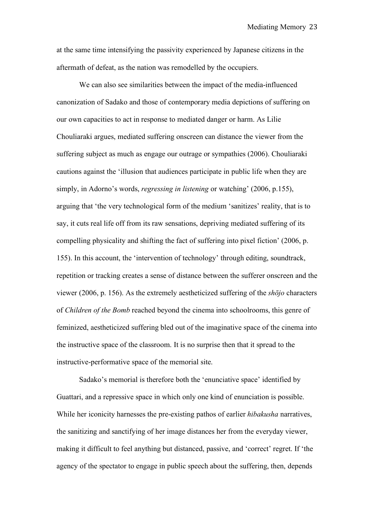at the same time intensifying the passivity experienced by Japanese citizens in the aftermath of defeat, as the nation was remodelled by the occupiers.

We can also see similarities between the impact of the media-influenced canonization of Sadako and those of contemporary media depictions of suffering on our own capacities to act in response to mediated danger or harm. As Lilie Chouliaraki argues, mediated suffering onscreen can distance the viewer from the suffering subject as much as engage our outrage or sympathies (2006). Chouliaraki cautions against the 'illusion that audiences participate in public life when they are simply, in Adorno's words, *regressing in listening* or watching' (2006, p.155), arguing that 'the very technological form of the medium 'sanitizes' reality, that is to say, it cuts real life off from its raw sensations, depriving mediated suffering of its compelling physicality and shifting the fact of suffering into pixel fiction' (2006, p. 155). In this account, the 'intervention of technology' through editing, soundtrack, repetition or tracking creates a sense of distance between the sufferer onscreen and the viewer (2006, p. 156). As the extremely aestheticized suffering of the *shōjo* characters of *Children of the Bomb* reached beyond the cinema into schoolrooms, this genre of feminized, aestheticized suffering bled out of the imaginative space of the cinema into the instructive space of the classroom. It is no surprise then that it spread to the instructive-performative space of the memorial site.

Sadako's memorial is therefore both the 'enunciative space' identified by Guattari, and a repressive space in which only one kind of enunciation is possible. While her iconicity harnesses the pre-existing pathos of earlier *hibakusha* narratives, the sanitizing and sanctifying of her image distances her from the everyday viewer, making it difficult to feel anything but distanced, passive, and 'correct' regret. If 'the agency of the spectator to engage in public speech about the suffering, then, depends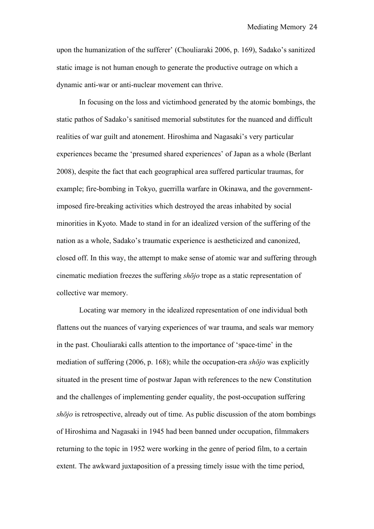upon the humanization of the sufferer' (Chouliaraki 2006, p. 169), Sadako's sanitized static image is not human enough to generate the productive outrage on which a dynamic anti-war or anti-nuclear movement can thrive.

In focusing on the loss and victimhood generated by the atomic bombings, the static pathos of Sadako's sanitised memorial substitutes for the nuanced and difficult realities of war guilt and atonement. Hiroshima and Nagasaki's very particular experiences became the 'presumed shared experiences' of Japan as a whole (Berlant 2008), despite the fact that each geographical area suffered particular traumas, for example; fire-bombing in Tokyo, guerrilla warfare in Okinawa, and the governmentimposed fire-breaking activities which destroyed the areas inhabited by social minorities in Kyoto. Made to stand in for an idealized version of the suffering of the nation as a whole, Sadako's traumatic experience is aestheticized and canonized, closed off. In this way, the attempt to make sense of atomic war and suffering through cinematic mediation freezes the suffering *shōjo* trope as a static representation of collective war memory.

Locating war memory in the idealized representation of one individual both flattens out the nuances of varying experiences of war trauma, and seals war memory in the past. Chouliaraki calls attention to the importance of 'space-time' in the mediation of suffering (2006, p. 168); while the occupation-era *shōjo* was explicitly situated in the present time of postwar Japan with references to the new Constitution and the challenges of implementing gender equality, the post-occupation suffering *shōjo* is retrospective, already out of time. As public discussion of the atom bombings of Hiroshima and Nagasaki in 1945 had been banned under occupation, filmmakers returning to the topic in 1952 were working in the genre of period film, to a certain extent. The awkward juxtaposition of a pressing timely issue with the time period,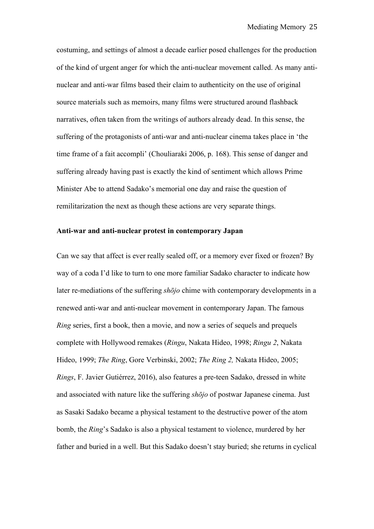costuming, and settings of almost a decade earlier posed challenges for the production of the kind of urgent anger for which the anti-nuclear movement called. As many antinuclear and anti-war films based their claim to authenticity on the use of original source materials such as memoirs, many films were structured around flashback narratives, often taken from the writings of authors already dead. In this sense, the suffering of the protagonists of anti-war and anti-nuclear cinema takes place in 'the time frame of a fait accompli' (Chouliaraki 2006, p. 168). This sense of danger and suffering already having past is exactly the kind of sentiment which allows Prime Minister Abe to attend Sadako's memorial one day and raise the question of remilitarization the next as though these actions are very separate things.

## **Anti-war and anti-nuclear protest in contemporary Japan**

Can we say that affect is ever really sealed off, or a memory ever fixed or frozen? By way of a coda I'd like to turn to one more familiar Sadako character to indicate how later re-mediations of the suffering *shōjo* chime with contemporary developments in a renewed anti-war and anti-nuclear movement in contemporary Japan. The famous *Ring* series, first a book, then a movie, and now a series of sequels and prequels complete with Hollywood remakes (*Ringu*, Nakata Hideo, 1998; *Ringu 2*, Nakata Hideo, 1999; *The Ring*, Gore Verbinski, 2002; *The Ring 2,* Nakata Hideo, 2005; *Rings*, F. Javier Gutiérrez, 2016), also features a pre-teen Sadako, dressed in white and associated with nature like the suffering *shōjo* of postwar Japanese cinema. Just as Sasaki Sadako became a physical testament to the destructive power of the atom bomb, the *Ring*'s Sadako is also a physical testament to violence, murdered by her father and buried in a well. But this Sadako doesn't stay buried; she returns in cyclical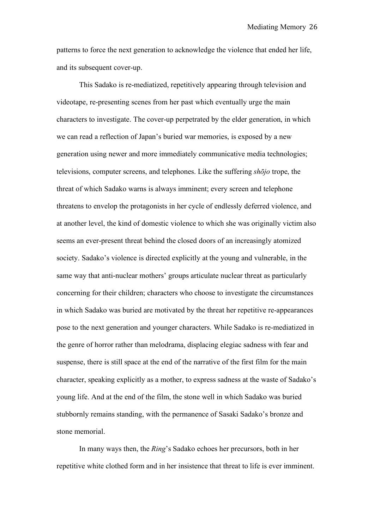patterns to force the next generation to acknowledge the violence that ended her life, and its subsequent cover-up.

This Sadako is re-mediatized, repetitively appearing through television and videotape, re-presenting scenes from her past which eventually urge the main characters to investigate. The cover-up perpetrated by the elder generation, in which we can read a reflection of Japan's buried war memories, is exposed by a new generation using newer and more immediately communicative media technologies; televisions, computer screens, and telephones. Like the suffering *shōjo* trope, the threat of which Sadako warns is always imminent; every screen and telephone threatens to envelop the protagonists in her cycle of endlessly deferred violence, and at another level, the kind of domestic violence to which she was originally victim also seems an ever-present threat behind the closed doors of an increasingly atomized society. Sadako's violence is directed explicitly at the young and vulnerable, in the same way that anti-nuclear mothers' groups articulate nuclear threat as particularly concerning for their children; characters who choose to investigate the circumstances in which Sadako was buried are motivated by the threat her repetitive re-appearances pose to the next generation and younger characters. While Sadako is re-mediatized in the genre of horror rather than melodrama, displacing elegiac sadness with fear and suspense, there is still space at the end of the narrative of the first film for the main character, speaking explicitly as a mother, to express sadness at the waste of Sadako's young life. And at the end of the film, the stone well in which Sadako was buried stubbornly remains standing, with the permanence of Sasaki Sadako's bronze and stone memorial.

In many ways then, the *Ring*'s Sadako echoes her precursors, both in her repetitive white clothed form and in her insistence that threat to life is ever imminent.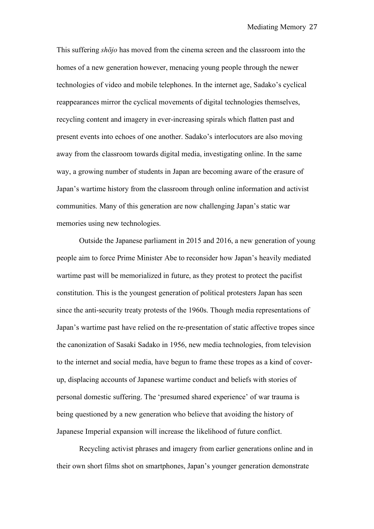This suffering *shōjo* has moved from the cinema screen and the classroom into the homes of a new generation however, menacing young people through the newer technologies of video and mobile telephones. In the internet age, Sadako's cyclical reappearances mirror the cyclical movements of digital technologies themselves, recycling content and imagery in ever-increasing spirals which flatten past and present events into echoes of one another. Sadako's interlocutors are also moving away from the classroom towards digital media, investigating online. In the same way, a growing number of students in Japan are becoming aware of the erasure of Japan's wartime history from the classroom through online information and activist communities. Many of this generation are now challenging Japan's static war memories using new technologies.

Outside the Japanese parliament in 2015 and 2016, a new generation of young people aim to force Prime Minister Abe to reconsider how Japan's heavily mediated wartime past will be memorialized in future, as they protest to protect the pacifist constitution. This is the youngest generation of political protesters Japan has seen since the anti-security treaty protests of the 1960s. Though media representations of Japan's wartime past have relied on the re-presentation of static affective tropes since the canonization of Sasaki Sadako in 1956, new media technologies, from television to the internet and social media, have begun to frame these tropes as a kind of coverup, displacing accounts of Japanese wartime conduct and beliefs with stories of personal domestic suffering. The 'presumed shared experience' of war trauma is being questioned by a new generation who believe that avoiding the history of Japanese Imperial expansion will increase the likelihood of future conflict.

Recycling activist phrases and imagery from earlier generations online and in their own short films shot on smartphones, Japan's younger generation demonstrate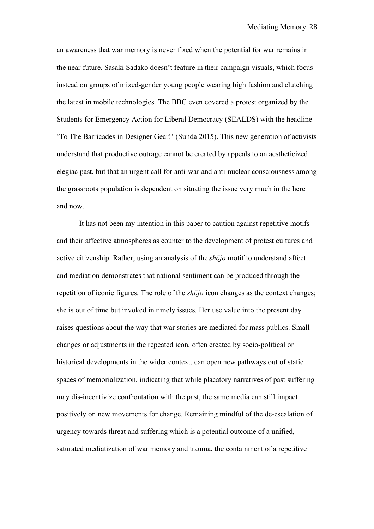an awareness that war memory is never fixed when the potential for war remains in the near future. Sasaki Sadako doesn't feature in their campaign visuals, which focus instead on groups of mixed-gender young people wearing high fashion and clutching the latest in mobile technologies. The BBC even covered a protest organized by the Students for Emergency Action for Liberal Democracy (SEALDS) with the headline 'To The Barricades in Designer Gear!' (Sunda 2015). This new generation of activists understand that productive outrage cannot be created by appeals to an aestheticized elegiac past, but that an urgent call for anti-war and anti-nuclear consciousness among the grassroots population is dependent on situating the issue very much in the here and now.

It has not been my intention in this paper to caution against repetitive motifs and their affective atmospheres as counter to the development of protest cultures and active citizenship. Rather, using an analysis of the *shōjo* motif to understand affect and mediation demonstrates that national sentiment can be produced through the repetition of iconic figures. The role of the *shōjo* icon changes as the context changes; she is out of time but invoked in timely issues. Her use value into the present day raises questions about the way that war stories are mediated for mass publics. Small changes or adjustments in the repeated icon, often created by socio-political or historical developments in the wider context, can open new pathways out of static spaces of memorialization, indicating that while placatory narratives of past suffering may dis-incentivize confrontation with the past, the same media can still impact positively on new movements for change. Remaining mindful of the de-escalation of urgency towards threat and suffering which is a potential outcome of a unified, saturated mediatization of war memory and trauma, the containment of a repetitive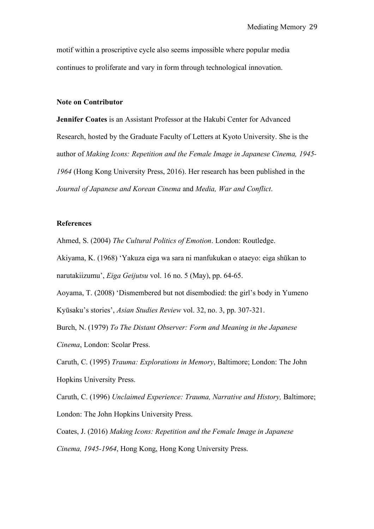motif within a proscriptive cycle also seems impossible where popular media continues to proliferate and vary in form through technological innovation.

## **Note on Contributor**

**Jennifer Coates** is an Assistant Professor at the Hakubi Center for Advanced Research, hosted by the Graduate Faculty of Letters at Kyoto University. She is the author of *Making Icons: Repetition and the Female Image in Japanese Cinema, 1945- 1964* (Hong Kong University Press, 2016). Her research has been published in the *Journal of Japanese and Korean Cinema* and *Media, War and Conflict*.

## **References**

Ahmed, S. (2004) *The Cultural Politics of Emotion*. London: Routledge.

Akiyama, K. (1968) 'Yakuza eiga wa sara ni manfukukan o ataeyo: eiga shūkan to narutakiizumu', *Eiga Geijutsu* vol. 16 no. 5 (May), pp. 64-65.

Aoyama, T. (2008) 'Dismembered but not disembodied: the girl's body in Yumeno Kyūsaku's stories', *Asian Studies Review* vol. 32, no. 3, pp. 307-321.

Burch, N. (1979) *To The Distant Observer: Form and Meaning in the Japanese Cinema*, London: Scolar Press.

Caruth, C. (1995) *Trauma: Explorations in Memory*, Baltimore; London: The John Hopkins University Press.

Caruth, C. (1996) *Unclaimed Experience: Trauma, Narrative and History,* Baltimore; London: The John Hopkins University Press.

Coates, J. (2016) *Making Icons: Repetition and the Female Image in Japanese Cinema, 1945-1964*, Hong Kong, Hong Kong University Press.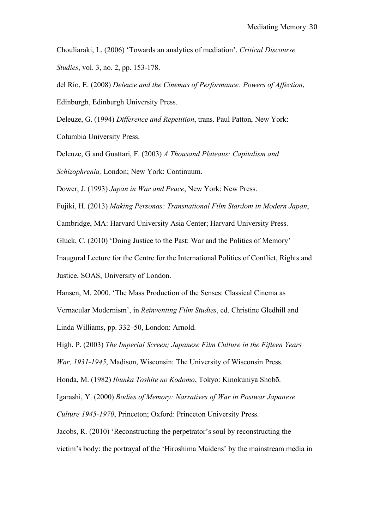Chouliaraki, L. (2006) 'Towards an analytics of mediation', *Critical Discourse Studies*, vol. 3, no. 2, pp. 153-178.

del Río, E. (2008) *Deleuze and the Cinemas of Performance: Powers of Affection*, Edinburgh, Edinburgh University Press.

Deleuze, G. (1994) *Difference and Repetition*, trans. Paul Patton, New York: Columbia University Press.

Deleuze, G and Guattari, F. (2003) *A Thousand Plateaus: Capitalism and Schizophrenia,* London; New York: Continuum.

Dower, J. (1993) *Japan in War and Peace*, New York: New Press.

Fujiki, H. (2013) *Making Personas: Transnational Film Stardom in Modern Japan*,

Cambridge, MA: Harvard University Asia Center; Harvard University Press.

Gluck, C. (2010) 'Doing Justice to the Past: War and the Politics of Memory'

Inaugural Lecture for the Centre for the International Politics of Conflict, Rights and Justice, SOAS, University of London.

Hansen, M. 2000. 'The Mass Production of the Senses: Classical Cinema as Vernacular Modernism', in *Reinventing Film Studies*, ed. Christine Gledhill and Linda Williams, pp. 332–50, London: Arnold.

High, P. (2003) *The Imperial Screen; Japanese Film Culture in the Fifteen Years* 

*War, 1931-1945*, Madison, Wisconsin: The University of Wisconsin Press.

Honda, M. (1982) *Ibunka Toshite no Kodomo*, Tokyo: Kinokuniya Shobō.

Igarashi, Y. (2000) *Bodies of Memory: Narratives of War in Postwar Japanese* 

*Culture 1945-1970*, Princeton; Oxford: Princeton University Press.

Jacobs, R. (2010) 'Reconstructing the perpetrator's soul by reconstructing the victim's body: the portrayal of the 'Hiroshima Maidens' by the mainstream media in